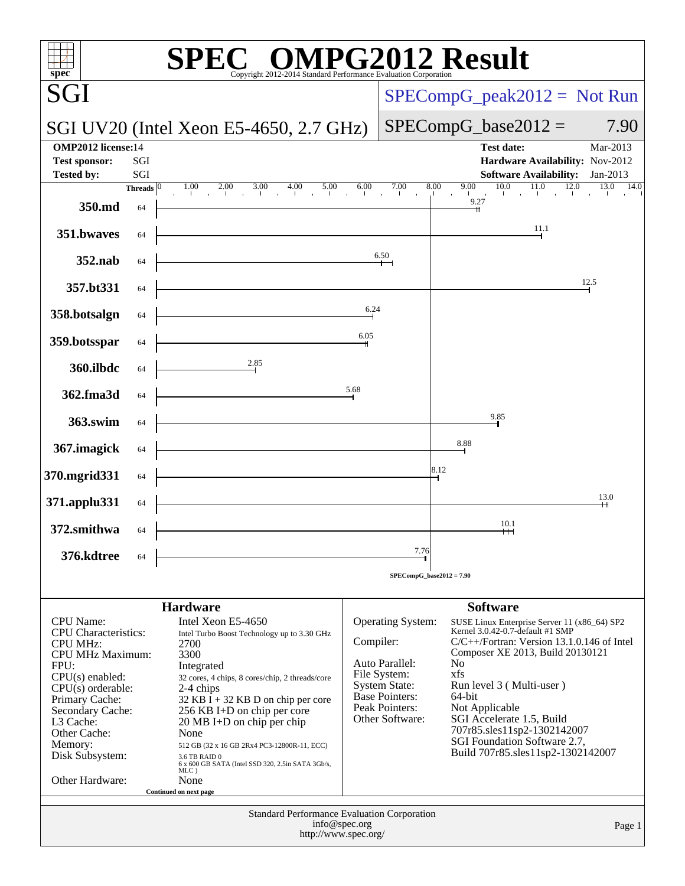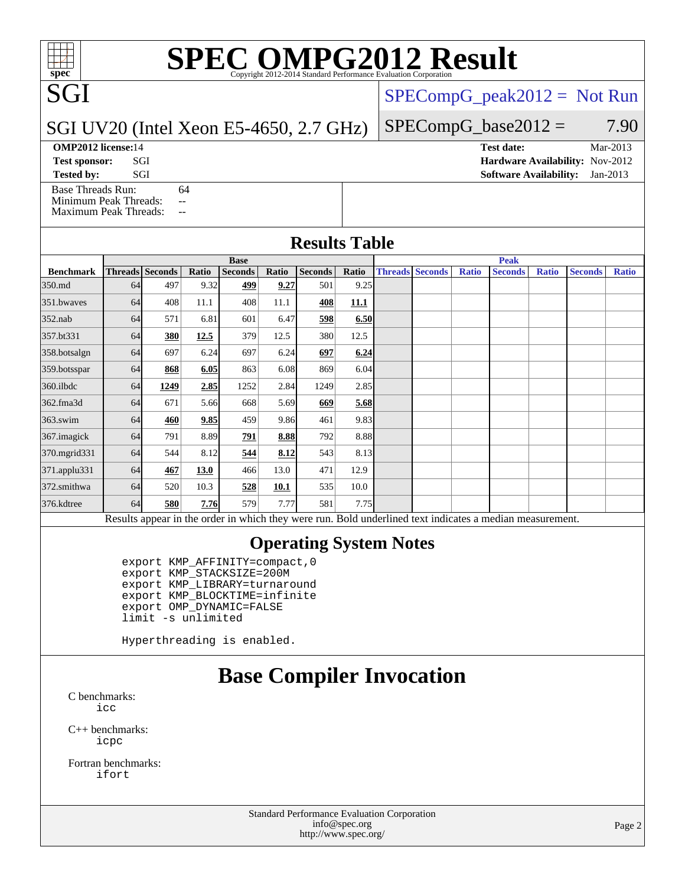## **[SPEC OMPG2012 Result](http://www.spec.org/auto/omp2012/Docs/result-fields.html#SPECOMPG2012Result)**

[SPECompG\\_peak2012 =](http://www.spec.org/auto/omp2012/Docs/result-fields.html#SPECompGpeak2012) Not Run

#### SGI UV20 (Intel Xeon E5-4650, 2.7 GHz)

 $SPECompG_base2012 = 7.90$  $SPECompG_base2012 = 7.90$ 

#### **[OMP2012 license:](http://www.spec.org/auto/omp2012/Docs/result-fields.html#OMP2012license)14**

SGI

[Base Threads Run:](http://www.spec.org/auto/omp2012/Docs/result-fields.html#BaseThreadsRun) 64

[Minimum Peak Threads:](http://www.spec.org/auto/omp2012/Docs/result-fields.html#MinimumPeakThreads) --[Maximum Peak Threads:](http://www.spec.org/auto/omp2012/Docs/result-fields.html#MaximumPeakThreads) --

| OMP2012 license:14   |     | Test date:                             | $Nar-201.5$ |
|----------------------|-----|----------------------------------------|-------------|
| <b>Test sponsor:</b> | SGI | <b>Hardware Availability: Nov-2012</b> |             |
| <b>Tested by:</b>    |     | <b>Software Availability:</b> Jan-2013 |             |

#### **[Results Table](http://www.spec.org/auto/omp2012/Docs/result-fields.html#ResultsTable)**

|                                                                                                          | <b>Base</b> |                        |       |                |       |                | <b>Peak</b> |  |                        |              |                |              |                |              |
|----------------------------------------------------------------------------------------------------------|-------------|------------------------|-------|----------------|-------|----------------|-------------|--|------------------------|--------------|----------------|--------------|----------------|--------------|
| <b>Benchmark</b>                                                                                         |             | <b>Threads</b> Seconds | Ratio | <b>Seconds</b> | Ratio | <b>Seconds</b> | Ratio       |  | <b>Threads Seconds</b> | <b>Ratio</b> | <b>Seconds</b> | <b>Ratio</b> | <b>Seconds</b> | <b>Ratio</b> |
| 350.md                                                                                                   | 64          | 497                    | 9.32  | 499            | 9.27  | 501            | 9.25        |  |                        |              |                |              |                |              |
| 351.bwaves                                                                                               | 64          | 408                    | 11.1  | 408            | 11.1  | 408            | <b>11.1</b> |  |                        |              |                |              |                |              |
| $352$ .nab                                                                                               | 64          | 571                    | 6.81  | 601            | 6.47  | 598            | 6.50        |  |                        |              |                |              |                |              |
| 357.bt331                                                                                                | 64          | <b>380</b>             | 12.5  | 379            | 12.5  | 380            | 12.5        |  |                        |              |                |              |                |              |
| 358.botsalgn                                                                                             | 64          | 697                    | 6.24  | 697            | 6.24  | 697            | 6.24        |  |                        |              |                |              |                |              |
| 359.botsspar                                                                                             | 64          | 868                    | 6.05  | 863            | 6.08  | 869            | 6.04        |  |                        |              |                |              |                |              |
| $360$ .ilbdc                                                                                             | 64          | 1249                   | 2.85  | 1252           | 2.84  | 1249           | 2.85        |  |                        |              |                |              |                |              |
| 362.fma3d                                                                                                | 64          | 671                    | 5.66  | 668            | 5.69  | 669            | 5.68        |  |                        |              |                |              |                |              |
| $363$ .swim                                                                                              | 64          | 460                    | 9.85  | 459            | 9.86  | 461            | 9.83        |  |                        |              |                |              |                |              |
| 367.imagick                                                                                              | 64          | 791                    | 8.89  | 791            | 8.88  | 792            | 8.88        |  |                        |              |                |              |                |              |
| 370.mgrid331                                                                                             | 64          | 544                    | 8.12  | 544            | 8.12  | 543            | 8.13        |  |                        |              |                |              |                |              |
| 371.applu331                                                                                             | 64          | 467                    | 13.0  | 466            | 13.0  | 471            | 12.9        |  |                        |              |                |              |                |              |
| 372.smithwa                                                                                              | 64          | 520                    | 10.3  | 528            | 10.1  | 535            | 10.0        |  |                        |              |                |              |                |              |
| 376.kdtree                                                                                               | 64          | 580                    | 7.76  | 579            | 7.77  | 581            | 7.75        |  |                        |              |                |              |                |              |
| Results appear in the order in which they were run. Bold underlined text indicates a median measurement. |             |                        |       |                |       |                |             |  |                        |              |                |              |                |              |

#### **[Operating System Notes](http://www.spec.org/auto/omp2012/Docs/result-fields.html#OperatingSystemNotes)**

 export KMP\_AFFINITY=compact,0 export KMP\_STACKSIZE=200M export KMP\_LIBRARY=turnaround export KMP\_BLOCKTIME=infinite export OMP\_DYNAMIC=FALSE limit -s unlimited

Hyperthreading is enabled.

## **[Base Compiler Invocation](http://www.spec.org/auto/omp2012/Docs/result-fields.html#BaseCompilerInvocation)**

[C benchmarks](http://www.spec.org/auto/omp2012/Docs/result-fields.html#Cbenchmarks): [icc](http://www.spec.org/omp2012/results/res2013q2/omp2012-20130318-00027.flags.html#user_CCbase_intel_icc_a87c68a857bc5ec5362391a49d3a37a6)

[C++ benchmarks:](http://www.spec.org/auto/omp2012/Docs/result-fields.html#CXXbenchmarks) [icpc](http://www.spec.org/omp2012/results/res2013q2/omp2012-20130318-00027.flags.html#user_CXXbase_intel_icpc_2d899f8d163502b12eb4a60069f80c1c)

[Fortran benchmarks](http://www.spec.org/auto/omp2012/Docs/result-fields.html#Fortranbenchmarks): [ifort](http://www.spec.org/omp2012/results/res2013q2/omp2012-20130318-00027.flags.html#user_FCbase_intel_ifort_8a5e5e06b19a251bdeaf8fdab5d62f20)

> Standard Performance Evaluation Corporation [info@spec.org](mailto:info@spec.org) <http://www.spec.org/>